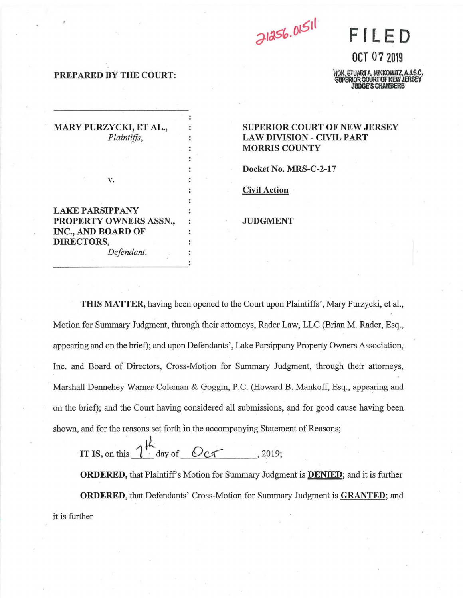

**OCT 07 2019** 

I, STUARTA, MINKOWITZ, A.J.S.C.  $r$ midt of NFW JFI $\,$ DGE'S CHAMBERS

# PREPARED BY THE COURT:

?

1

MARY PURZYCKI, ET AL., Plaintiffs,

SUPERIOR COURT OF NEW JERSEY LAW DIVISION - CIVIL PART MORRIS COUNTY

Docket No. MRS-C-2-17

Civil Action

# JUDGMENT

LAKE PARSIPPANY PROPERTY OWNERS ASSN., INC., AND BOARD OF DIRECTORS,

v.

Defendant.

THIS MATTER, having been opened to the Court upon Plaintiffs', Mary Purzycki, et al., Motion for Summary Judgment, through their attorneys, Rader Law, LLC (Brian M. Rader, Esq., appearing and on the brief), and upon Defendants', Lake Parsippany Property Owners Association, Inc. and Board of Directors, Cross-Motion for Summary Judgment, through their attorneys, Marshall Dennehey Wamer Coleman & Goggin, P.C. (Howard B. Mankoff, Esq., appearing and on the brief), and the Court having considered all submissions, and for good cause having been shown, and for the reasons set forth 'm the accompanying Statement of Reasons,

IT IS, on this  $\int_0^1$  day of  $OC \frown$  . 2019:

**ORDERED,** that Plaintiff's Motion for Summary Judgment is **DENIED**; and it is further ORDERED, that Defendants' Cross-Motion for Summary Judgment is GRANTED, and it is further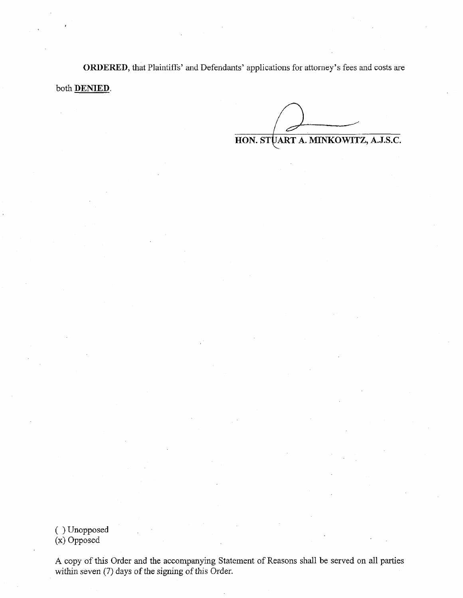ORDERED, that Plaintiffs' and Defendants' applications for attorney's fees and costs are both DENIED.

 $\sim$ HON. STQART A. MINKOWITZ, A.J.S.C.

( )Unopposed (x) Opposed

r

\

I

A copy of this Order and the accompanying Statement of Reasons shall be served on all parties within seven (7) days of the signing of this Order.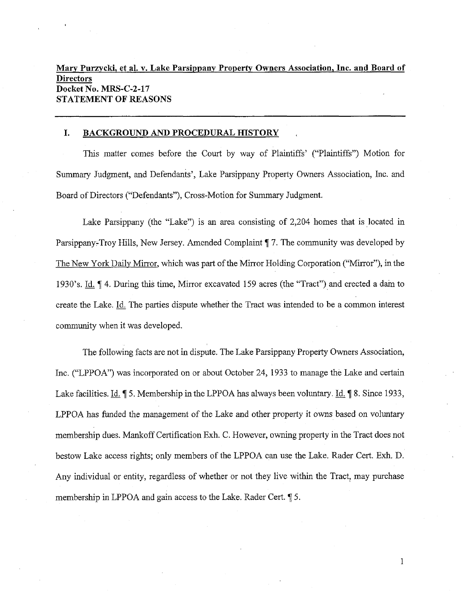# Mary Purzycki, et al. v. Lake Parsippany Property Owners Association, Inc. and Board of **Directors** Docket No. MRS-C-2-17 STATEMENT OF REASONS

### 1. BACKGROUND AND PROCEDURAL HISTORY

i

\

This matter comes before the Court by way of Plaintiffs' ("Plaintiffs") Motion for Summary Judgment, and Defendants', Lake Parsippany Property Owners Association, Inc. and Board of Directors ("Defendants"), Cross-Motion for Summary Judgment.

Lake Parsippany (the "Lake") is an area consisting of 2,204 homes that is located in Parsippany-Troy Hills, New Jersey. Amended Complaint  $\P$  7. The community was developed by The New York Daily Mirror, which was part of the Mirror Holding Corporation ("Mirror"), in the 1930's. Id.  $\P$  4. During this time, Mirror excavated 159 acres (the "Tract") and erected a dam to create the Lake. Id. The parties dispute whether the Tract was intended to be a common interest community when it was developed.

The following facts are not in dispute. The Lake Parsippany Property Owners Association, Inc. ("LPPOA") was incorporated on or about October 24, 1933 to manage the Lake and certain Lake facilities. Id.  $\parallel$  5. Membership in the LPPOA has always been voluntary. Id.  $\parallel$  8. Since 1933, LPPOA has funded the management of the Lake and other property it owns based on voluntary membership dues. Mankoff Certification Exh. C. However, owning property in die Tract does not bestow Lake access rights, only members of the LPPOA can use the Lake. Rader Cert. Exh. D. Any individual or entity, regardless of whether or not they live within the Tract, may purchase membership in LPPOA and gain access to the Lake. Rader Cert.  $\sqrt{5}$ .

l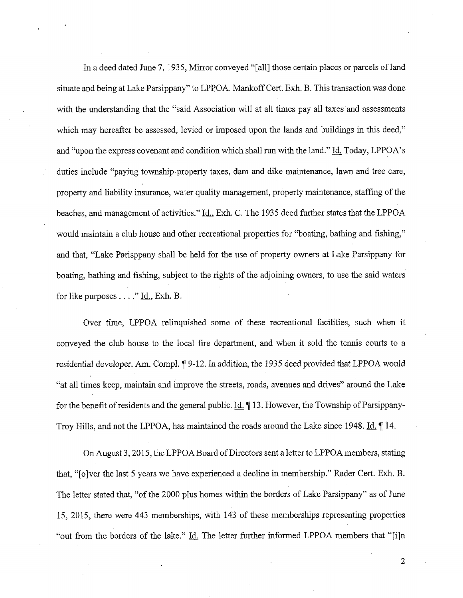In a deed dated June 7, 1935, Mirror conveyed "[all] those certain places or parcels of land situate and being at Lake Parsippany" to LPPOA. Mankoff Cert. Exh. B. This transaction was done with the understanding that the "said Association will at all times pay all taxes and assessments which may hereafter be assessed, levied or imposed upon the lands and buildings in this deed," and "upon the express covenant and condition which shall run with the land." Id. Today, LPPOA's duties include "paying township property taxes, dam and dike maintenance, lawn and tree care, property and liability insurance, water quality management, property maintenance, staffing of the beaches, and management of activities." Id., Exh. C. The 1935 deed further states that the LPPOA would maintain a club house and other recreational properties for "boating, bathing and fishing," and that, "Lake Parisppany shall be held for the use of property owners at Lake Parsippany for boating, bathing and fishing, subject to the rights of the adjoining owners, to use the said waters for like purposes  $\dots$ ." <u>Id.</u>, Exh. B.

I

Over time, LPPOA relinquished some of these recreational facilities, such when it conveyed the club house to the local fire department, and when it sold the tennis courts to a residential developer. Am. Compl. ¶ 9-12. In addition, the 1935 deed provided that LPPOA would "at all times keep, maintain and improve the streets, roads, avenues and drives" around the Lake for the benefit of residents and the general public.  $\text{Id}$ ,  $\parallel$  13. However, the Township of Parsippany-Troy Hills, and not the LPPOA, has maintained the roads around the Lake since 1948. Id. 14.

On August 3, 2015, die LPPOA Board of Directors sent a letter to LPPOA members, stating that, "[o]ver the last 5 years we have experienced a decline in membership." Rader Cert. Exh. B. The letter stated that, "of the 2000 plus homes within the borders of Lake Parsippany" as of June 15, 2015, there were 443 memberships, with 143 of these memberships representing properties "out from the borders of the lake."  $\underline{Id}$ . The letter further informed LPPOA members that "[i]n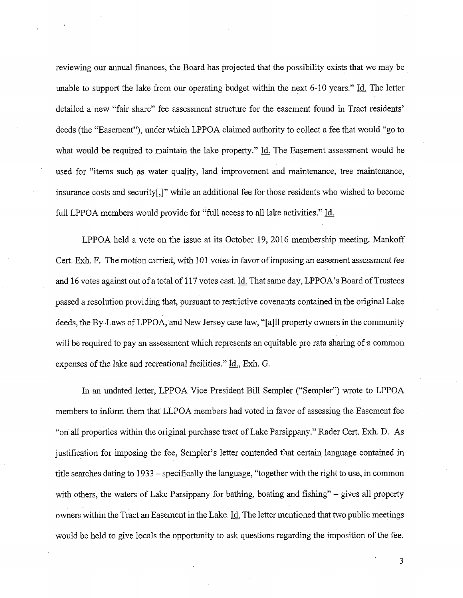reviewing our annual finances, the Board has projected that the possibility exists that we may be unable to support the lake from our operating budget within the next  $6-10$  years." Id. The letter detailed a new "fair share" fee assessment structure for the easement found in Tract residents' deeds (the "Easement"), under which LPPOA claimed authority to collect a fee that would "go to what would be required to maintain the lake property." Id. The Easement assessment would be used for "items such as water quality, land improvement and maintenance, tree maintenance, insurance costs and security[,]" while an additional fee for those residents who wished to become full LPPOA members would provide for "full access to all lake activities." Id.

I

LPPOA held a vote on the issue at its October 19, 2016 membership meeting. Mankoff Cert. Exh. F. The motion carried, with 101 votes in favor of imposing an easement assessment fee and 16 votes against out of a total of 117 votes cast. Id. That same day, LPPOA's Board of Trustees passed a resolution providing that, pursuant to restrictive covenants contained 'up the original Lake deeds, the By-Laws of LPPOA, and New Jersey case law, "[a]ll property owners in the community will be required to pay an assessment which represents an equitable pro rata sharing of a common expenses of the lake and recreational facilities." Id., Exh. G.

In an undated letter, LPPOA Vice President Bill Sempler ("Sempler") wrote to LPPOA members to inform them that LLPOA members had voted in favor of assessing the Easement fee "on all properties within the original purchase tract of Lake Parsippany." Rader Cert. Exh. D. As justification for imposing the fee, Sempler's letter contended that certain language contained in title searches dating to 1933 – specifically the language, "together with the right to use, in common with others, the waters of Lake Parsippany for bathing, boating and fishing" – gives all property owners within the Tract an Easement in the Lake. Id. The letter mentioned that two public meetings would be held to give locals the opportunity to ask questions regarding the imposition of the fee.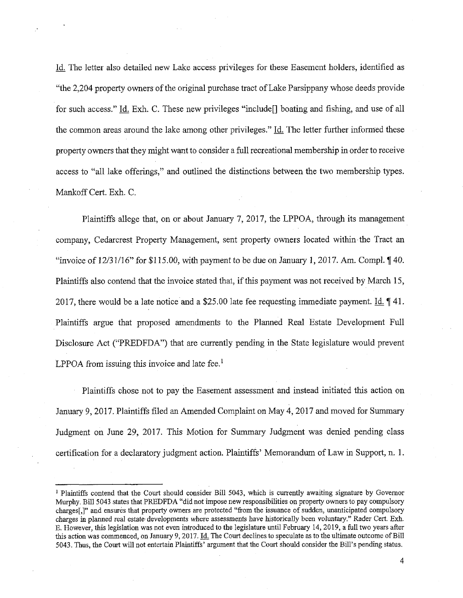The letter also detailed new Lake access privileges for these Easement holders, identified as "the 2,204 property owners of the original purchase tract of Lake Parsippany whose deeds provide for such access." Id. Exh. C. These new privileges "include<sup>[]</sup> boating and fishing, and use of all the common areas around the lake among other privileges." Id. The letter further informed these property owners that they might want to consider a full recreational membership in order to receive access to "all lake offerings," and outlined the distinctions between the two membership types. Mankoff Cert. Exh. C.

I

Plaintiffs allege that, on or about January 7, 2017, the LPPOA, through its management company, Cedarcrest Property Management, sent property owners located within the Tract an "invoice of  $12/31/16$ " for \$115.00, with payment to be due on January 1, 2017. Am. Compl.  $\P$  40. Plaintiffs also contend that the invoice stated that, if this payment was not received by March 15, 2017, there would be a late notice and a \$25.00 late fee requesting immediate payment. Id.  $\P$  41. Plaintiffs argue that proposed amendments to the Planned Real Estate Development Full Disclosure Act ("PREDFDA") that are currently pending in the State legislature would prevent LPPOA from issuing this invoice and late fee.<sup>1</sup>

Plaintiffs chose not to pay the Easement assessment and instead initiated this action on January 9, 2017. Plaintiffs filed an Amended Complaint on May 4, 2017 and moved for Summary Judgment on June 29, 2017. This Motion for Summary Judgment was denied pending class certification for a declaratory judgment action. Plaintiffs' Memorandum of Law in Support, n. 1.

<sup>&</sup>lt;sup>1</sup> Plaintiffs contend that the Court should consider Bill 5043, which is currently awaiting signature by Governor Murphy. Bill 5043 states that PREDFDA "did not impose new responsibilities on property owners to pay compulsory charges[,]" and ensures that property owners are protected "from the issuance of sudden, unanticipated compulsory charges in planned real estate developments where assessments have historically been voluntary." Rader Cert. Exh. E. However, this legislation was not even introduced to the legislature until February 14, 2019, a full two years after this action was commenced, on January 9, 2017. Id. The Court declines to speculate as to the ultimate outcome of Bill 5043. Thus, the Court will not entertain Plaintiffs' argument that the Court should consider the Bi11's pending status.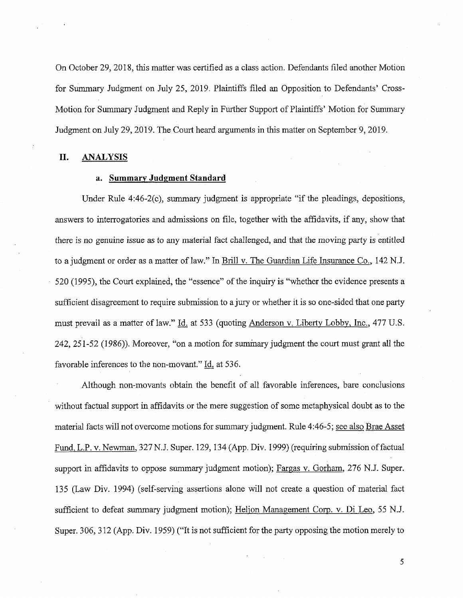On October 29, 2018, 'dis matter was certified as a class action. Defendants filed another Motion for Summary Judgment on July 25, 2019. Plaintiffs filed an Opposition to Defendants' Cross-Motion for Summary Judgment and Reply in Further Support of Plaintiffs' Motion for Summary Judgment on July 29, 2019. The Court heard arguments in this matter on September 9, 2019.

### II. ANALYSIS

4

# a. Summary Judgment Standard

Under Rule 4:46-2(c), summary judgment is appropriate "if the pleadings, depositions, answers to interrogatories and admissions on file, together with the affidavits, if any, show that there is no genuine issue as to any material fact challenged, and that the moving party is entitled to a judgment or order as a matter of law." In Brill v. The Guardian Life Insurance Co., 142 N.J. 520 (1995), the Court explained, the "essence" of the inquiry is "whether the evidence presents a sufficient disagreement to require submission to a jury or whether it is so one-sided that one party must prevail as a matter of law." Id. at 533 (quoting Anderson v. Liberty Lobby, Inc., 477 U.S.  $242, 251-52$  (1986)). Moreover, "on a motion for summary judgment the court must grant all the favorable inferences to the non-movant."  $\underline{Id}$ , at 536.

Although non-movants obtain the benefit of all favorable inferences, bare conclusions without factual support in affidavits or the mere suggestion of some metaphysical doubt as to the material facts will not overcome motions for summary judgment. Rule 4:46-5, see also Brae Asset Fund, L.P. v. Newman, 327 N.J. Super. 129, 134 (App. Div. 1999) (requiring submission of factual support in affidavits to oppose summary judgment motion); Fargas v. Gorham, 276 N.J. Super. 135 (Law Div. 1994) (self-serving assertions alone will not create a question of material fact sufficient to defeat summary judgment motion); Heljon Management Corp. v. Di Leo, 55 N.J. Super. 306, 312 (App. Div. 1959) ("It is not sufficient for the party opposing the motion merely to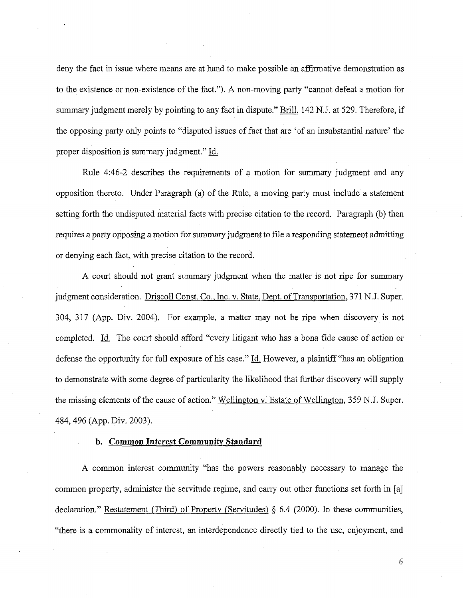deny the fact in issue where means are at hand to make possible an affirmative demonstration as to the existence or non-existence of the fact."). A non-moving party "cannot defeat a motion for summary judgment merely by pointing to any fact in dispute." Brill, 142 N.J. at 529. Therefore, if the opposing party only points to "disputed issues of fact that are 'of an insubstantial nature' the proper disposition is summary judgment." Id.

Rule 4:46-2 describes the requirements of a motion for summary judgment and any opposition thereto. Under Paragraph (a) of the Rule, a moving party must include a statement setting forth the undisputed material facts with precise citation to the record. Paragraph (b) then requires a party opposing a motion for summary judgment to file a responding statement admitting or denying each fact, with precise citation to the record.

A court should not grant summary judgment when the matter is not ripe for summary judgment consideration. Driscoll Const. Co., Inc. v. State, Dept. of Transportation, 371 N.J. Super. 304, 317 (App. Div. 2004). For example, a matter may not be ripe when discovery is not completed. Id. The court should afford "every litigant who has a bona fide cause of action or defense the opportunity for full exposure of his case." Id. However, a plaintiff "has an obligation" to demonstrate with some degree of particularity the likelihood that further discovery will supply the missing elements of the cause of action." Wellington v. Estate of Wellington, 359 N.J. Super. 484, 496 (App. Div. 2003).

# b. Common Interest Community Standard

A common interest community "has the powers reasonably necessary to manage the common property, administer the servitude regime, and carry out other functions set forth in [a] declaration." Restatement (Third) of Property (Servitudes)  $\S$  6.4 (2000). In these communities, "there is a commonality of interest, an interdependence directly tied to the use, enjoyment, and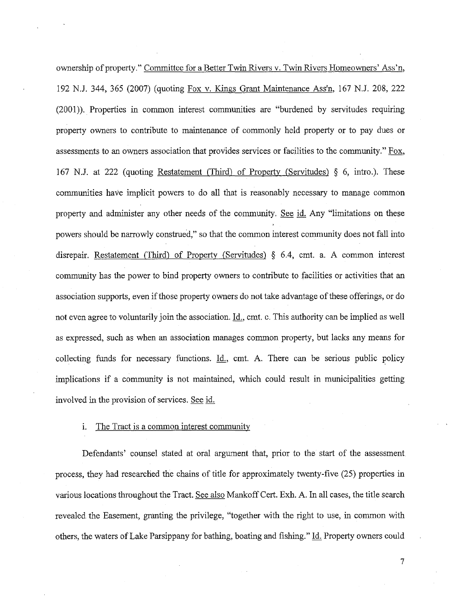ownership of property." Committee for a Better Twin Rivers V. Twin Rivers Homeowners' Ass'n, 192 N.J. 344, 365 (2007) (quoting Fox V. Kings Grant Maintenance Ass'n, 167 NJ. 208, 222  $(2001)$ ). Properties in common interest communities are "burdened by servitudes requiring property owners to contribute to maintenance of commonly held property or to pay dues or assessments to an owners association that provides services or facilities to the community." Fox, 167 NJ. at 222 (quoting Restatement (Third) of Property (Servitudes) § 6, intro.) These communities have implicit powers to do all that is reasonably necessary to manage common property and administer any other needs of the community. See id. Any "limitations on these powers should be narrowly construed," so that the common interest community does not fall into disrepair. Restatement (Third) of Property (Servitudes)  $\S$  6.4, cmt. a. A common interest community has the power to bind property owners to contribute to facilities or activities that an association supports, even if those property owners do not take advantage of these offerings, or do not even agree to voluntarily join the association. Id., cmt. c. This authority can be implied as well as expressed, such as when an association manages common property, but lacks any means for collecting funds for necessary functions.  $Id.$ , cmt. A. There can be serious public policy implications if a community is not maintained, which could result in municipalities getting involved in the provision of services. See id.

#### i. The Tract is a common interest community

Defendants' counsel stated at oral argument that, prior to the start of the assessment process, they had researched the chains of title for approximately twenty-five (25) properties in various locations throughout the Tract. See also Mankoff Cert. Exh. A. In all cases, the title search revealed the Easement, granting the privilege, "together with the right to use, in common with others, the waters of Lake Parsippany for bathing, boating and fishing." Id. Property owners could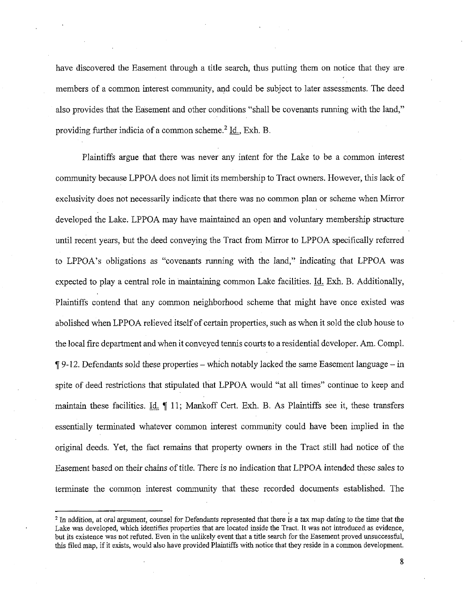have discovered the Easement through a title search, thus putting them on notice that they are. members of a common interest community, and could be subject to later assessments. The deed also provides that the Easement and other conditions "shall be covenants running with the land," providing further indicia of a common scheme.<sup>2</sup> Id., Exh. B.

Plaintiffs argue that there was never any intent for the Lake to be a common interest community because LPPOA does not limit its membership to Tract owners. However, this lack of exclusivity does not necessarily indicate that there was no common plan or scheme when Mirror developed the Lake. LPPOA may have maintained an open and voluntary membership structure until recent years, but the deed conveying the Tract from Mirror to LPPOA specifically referred to LPPOA's obligations as "covenants running with the land," indicating that LPPOA was expected to play a central role in maintaining common Lake facilities. Id. Exh. B. Additionally, Plaintiffs contend that any common neighborhood scheme that might have once existed was abolished when LPPOA relieved itself of certain properties, such as when it sold the club house to the local fire department and when it conveyed tennis courts to a residential developer. Am. Compl.  $\P$  9-12. Defendants sold these properties – which notably lacked the same Easement language – in spite of deed restrictions that stipulated that LPPOA would "at all times" continue to keep and maintain these facilities. Id,  $\parallel$  11; Mankoff Cert. Exh. B. As Plaintiffs see it, these transfers essentially terminated whatever common interest community could have been implied in the original deeds. Yet, the fact remains that property owners in the Tract still had notice of die Easement based on their chains of title. There is no indication that LPPOA intended these sales to terminate the common interest community that these recorded documents established. The

<sup>&</sup>lt;sup>2</sup> In addition, at oral argument, counsel for Defendants represented that there is a tax map dating to the time that the Lake was developed, which identifies properties that are located inside the Tract. It was not introduced as evidence, but its existence was not refuted. Even in the unlikely event that a title search for the Easement proved unsuccessful, this filed map, if it exists, would also have provided Plaintiffs with notice that they reside in a common development.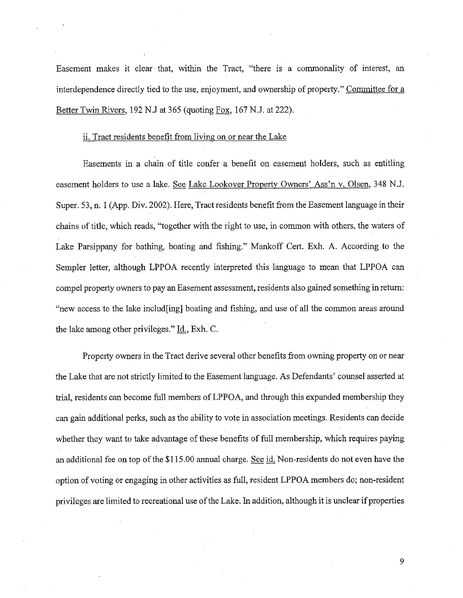Easement makes it clear that, within the Tract, "there is a commonality of interest, an interdependence directly tied to the use, enjoyment, and ownership of property." Committee for a Better Twin Rivers, 192 N.J at 365 (quoting Fox, 167 N.J. at 222).

## ii. Tract residents benefit from living on or near the Lake

Easements in a chain of title confer a benefit on easement holders, such as entitling easement holders to use a lake. See Lake Lookover Property Owners' Ass'n V. Olsen, 348 N.J. Super. 53, n. 1 (App. Div. 2002). Here, Tract residents benefit from the Easement language in their chains of title, which reads, "together with the right to use, in common with others, the waters of Lake Parsippany for bathing, boating and fishing." Mankoff Cert. Exh. A. According to the Sempler letter, although LPPOA recently interpreted this language to mean that LPPOA can compel property owners to pay an Easement assessment, residents also gained something in return: "new access to the lake includ[ing] boating and fishing, and use of all the common areas around the lake among other privileges." Id., Exh. C.

Property owners in the Tract derive several other benefits from owning property on or near the Lake that are not strictly limited to the Easement language. As Defendants' counsel asserted at trial, residents can become full members of LPPOA, and through this expanded membership they can gain additional perks, such as the ability to vote in association meetings. Residents can decide whether they want to take advantage of these benefits of full membership, which requires paying an additional fee on top of the \$115.00 annual charge. See id. Non-residents do not even have the option of voting or engaging in other activities as full, resident LPPOA members do; non-resident privileges are limited to recreational use of the Lake. In addition, although it is unclear if properties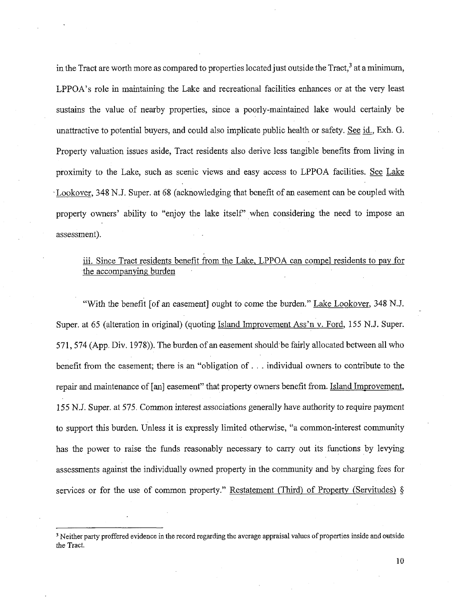in the Tract are worth more as compared to properties located just outside the Tract,  $3$  at a minimum, LPPOA's role in maintaining the Lake and recreational facilities enhances or at the very least sustains the value of nearby properties, since a poorly-maintained lake would certainly be unattractive to potential buyers, and could also implicate public health or safety. See  $id$ ,  $Exh$ .  $G$ . Property valuation issues aside, Tract residents also derive less tangible benefits from living in proximity to the Lake, such as scenic views and easy access to LPPOA facilities. See Lake 'Lookover, 348 NJ. Super. at 68 (acknowledging that benefit of an easement can be coupled with property owners' ability to "enjoy the lake itself" when considering the need to impose an assessment).

# iii. Since Tract residents benefit from the Lake, LPPOA can compel residents to pay for the accompanying burden '

"With the benefit [of an easement] ought to come the burden." Lake Lookover, 348 N.J. Super, at 65 (alteration in original) (quoting Island Improvement Ass'n v. Ford, 155 N.J. Super. 571, 574 (App. Div. 1978)). The burden of an easement should be fairly allocated between all who benefit from the easement; there is an "obligation of  $\ldots$  individual owners to contribute to the repair and maintenance of [an] easement" that property owners benefit from. Island Improvement, 155 NJ. Super. at 575. Common interest associations generally have authority to require payment to support this burden. Unless it is expressly limited otherwise, "a common-interest community has the power to raise the funds reasonably necessary to carry out its functions by levying assessments against the individually owned property in the community and by charging fees for services or for the use of common property." Restatement (Third) of Property (Servitudes)  $\S$ 

r

<sup>&</sup>lt;sup>3</sup> Neither party proffered evidence in the record regarding the average appraisal values of properties inside and outside the Tract.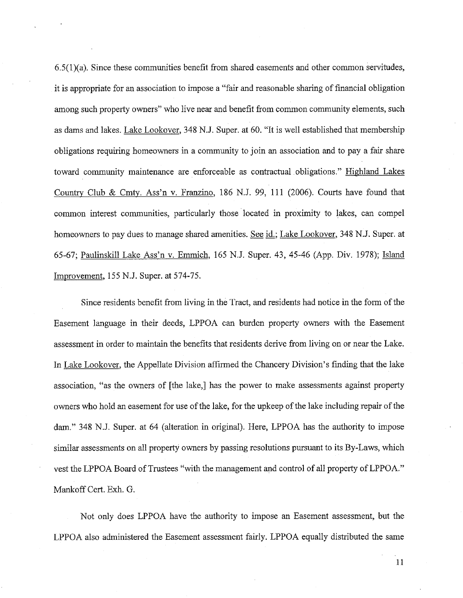$6.5(1)(a)$ . Since these communities benefit from shared easements and other common servitudes, it is appropriate for an association to impose a "fair and reasonable sharing of financial obligation among such property owners" who live near and benefit from common community elements, such as dams and lakes. Lake Lookover, 348 N.J. Super. at 60. "It is well established that membership obligations requiring homeowners in a community to join an association and to pay a fair share toward community maintenance are enforceable as contractual obligations." Highland Lakes County Club & Cmty. Ass'n V. Franz'mo, 186 N.J. 99, 111 (2006). Counts have found that common interest communities, particularly those located in proximity to lakes, can compel homeowners to pay dues to manage shared amenities. See id.; Lake Lookover, 348 N.J. Super. at 65-67; Paulinskill Lake Ass'n v. Emmich, 165 N.J. Super. 43, 45-46 (App. Div. 1978); Island Improvement, 155 N.J. Super. at 574-75.

c

Since residents benefit from living in the Tract, and residents had notice in the form of the Easement language in their deeds, LPPOA can burden property owners with the Easement assessment in order to maintain the benefits that residents derive from living on or near the Lake. In Lake Lookover, the Appellate Division affirmed the Chancery Division's finding that the lake association, "as the owners of [the lake,] has the power to make assessments against property owners who hold an easement for use of the lake, for the upkeep of the lake including repair of the dam." 348 N.J. Super. at 64 (alteration in original). Here, LPPOA has the authority to impose similar assessments on all property owners by passing resolutions pursuant to its By-Laws, which vest the LPPOA Board of Trustees "with the management and control of all property of LPPOA." Mankoff Cert. Exh. G.

Not only does LPPOA have the authority to impose an Easement assessment, but the LPPOA also administered the Easement assessment fairly. LPPOA equally distributed the same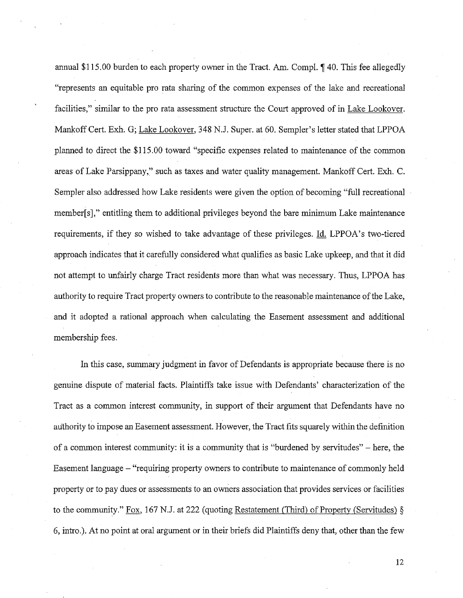annual \$115.00 burden to each property owner in the Tract. Am. Compl. 140. This fee allegedly "represents an equitable pro rata sharing of the common expenses of the lake and recreational facilities," similar to the pro rata assessment structure the Court approved of in Lake Lookover. Mankoff Cert. Exh. G; Lake Lookover, 348 N.J. Super. at 60. Sempler's letter stated that LPPOA planned to direct the \$115.00 toward "specific expenses related to maintenance of the common areas of Lake Parsippany," such as taxes and water quality management. Mankoff Cert. Exh. C. Sempler also addressed how Lake residents were given the option of becoming "full recreational member[s]," entitling them to additional privileges beyond the bare minimum Lake maintenance requirements, if they so wished to take advantage of these privileges. Id. LPPOA's two-tiered approach indicates that it carefully considered what qualifies as basic Lake upkeep, and that it did not attempt to unfairly charge Tract residents more than what was necessary. Thus, LPPOA has authority to require Tract property owners to contribute to the reasonable maintenance of the Lake, and it adopted a rational approach when calculating the Easement assessment and additional membership fees.

\

In this case, summary judgment in favor of Defendants is appropriate because there is no genuine dispute of material facts. Plaintiffs take issue with Defendants' characterization of the Tract as a common interest community, in support of their argument that Defendants have no authority to impose an Easement assessment. However, the Tract fits squarely within the defhiition of a common interest community: it is a community that is "burdened by servitudes" - here, the Easement language – "requiring property owners to contribute to maintenance of commonly held property or to pay dues or assessments to an owners association that provides services or facilities to the community." Fox, 167 N.J. at 222 (quoting Restatement (Third) of Property (Servitudes)  $\S$ 6, intro.). At no point at oral argument or in their briefs did Plaintiffs deny that, other than the few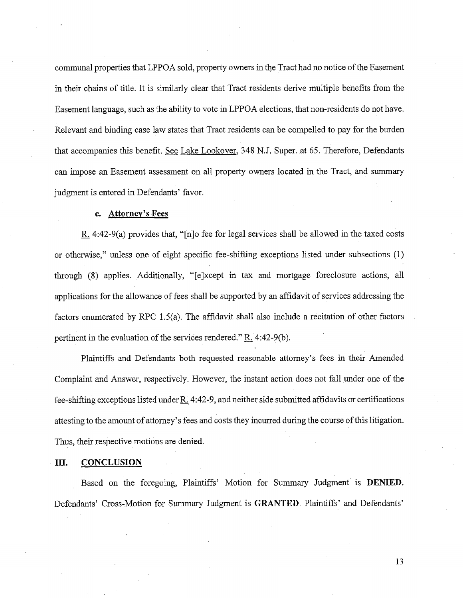communal properties that LPPOA sold, property owners in the Tract had no notice of the Easement in their chains of title. It is similarly clear that Tract residents derive multiple benefits from the Easement language, such as the ability to vote in LPPOA elections, that non-residents do not have. Relevant and binding case law states that Tract residents can be compelled to pay for the burden that accompanies dis benefit. See Lake Lookover, 348 N.J. Super. at 65. Therefore, Defendants can impose an Easement assessment on all property owners located in the Tract, and summary judgment is entered in Defendants' favor.

## c. Attorney's Fees

or

R.  $4:42-9(a)$  provides that, "[n]o fee for legal services shall be allowed in the taxed costs or otherwise," unless one of eight specific fee-shifting exceptions listed under subsections (1) through (8) applies. Additionally, "[e]xoept in tax and mortgage foreclosure actions, all applications for the allowance of fees shall be supported by an affidavit of services addressing the factors enumerated by RPC 1.5(a). The affidavit shall also include a recitation of other factors pertinent in the evaluation of the services rendered."  $R_4$  4:42-9(b).

Plaintiffs and Defendants both requested reasonable attorney's fees in their Amended Complaint and Answer, respectively. However, the instant action does not fall under one of the fee-shifting exceptions listed under R. 4:42-9, and neither side submitted affidavits or certifications attesting to the amount of attorney's fees and costs they incurred during the course of this litigation. Thus, their respective motions are denied.

#### III. CONCLUSION

Based on the foregoing, Plaintiffs' Motion for Summary Judgment is DENIED. Defendants' Cross-Motion for Summary Judgment is GRANTED. Plaintiffs' and Defendants'